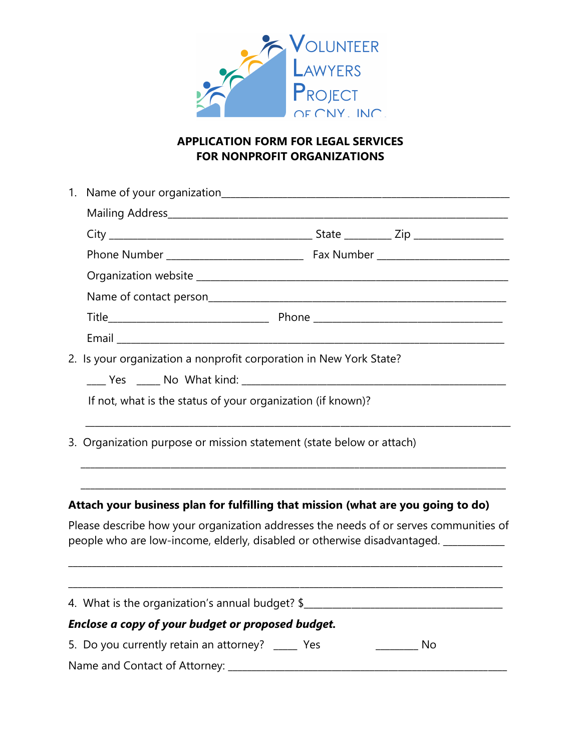

## **APPLICATION FORM FOR LEGAL SERVICES FOR NONPROFIT ORGANIZATIONS**

|  |                                                                                                                                                                            | 2. Is your organization a nonprofit corporation in New York State? |  |  |  |  |
|--|----------------------------------------------------------------------------------------------------------------------------------------------------------------------------|--------------------------------------------------------------------|--|--|--|--|
|  |                                                                                                                                                                            |                                                                    |  |  |  |  |
|  | If not, what is the status of your organization (if known)?                                                                                                                |                                                                    |  |  |  |  |
|  | 3. Organization purpose or mission statement (state below or attach)                                                                                                       |                                                                    |  |  |  |  |
|  | Attach your business plan for fulfilling that mission (what are you going to do)                                                                                           |                                                                    |  |  |  |  |
|  | Please describe how your organization addresses the needs of or serves communities of<br>people who are low-income, elderly, disabled or otherwise disadvantaged. ________ |                                                                    |  |  |  |  |
|  | 4. What is the organization's annual budget? \$                                                                                                                            |                                                                    |  |  |  |  |
|  | Enclose a copy of your budget or proposed budget.                                                                                                                          |                                                                    |  |  |  |  |
|  | 5. Do you currently retain an attorney? _____ Yes<br>$\rule{1em}{0.15mm}$ No                                                                                               |                                                                    |  |  |  |  |
|  | Name and Contact of Attorney: ______                                                                                                                                       |                                                                    |  |  |  |  |